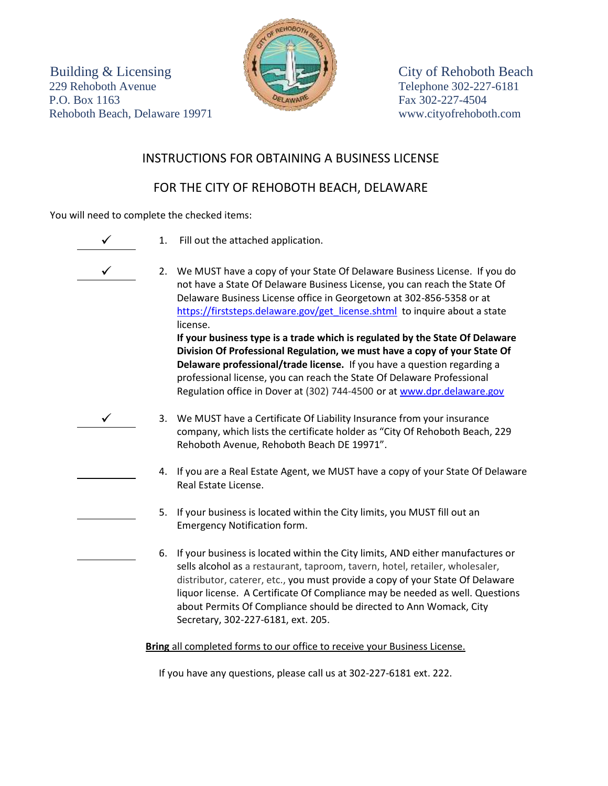Building & Licensing City of Rehoboth Beach 229 Rehoboth Avenue Telephone 302-227-6181 P.O. Box 1163 Fax 302-227-4504 Rehoboth Beach, Delaware 19971 www.cityofrehoboth.com



## INSTRUCTIONS FOR OBTAINING A BUSINESS LICENSE

## FOR THE CITY OF REHOBOTH BEACH, DELAWARE

You will need to complete the checked items:

- 1. Fill out the attached application.
- 
- 2. We MUST have a copy of your State Of Delaware Business License. If you do not have a State Of Delaware Business License, you can reach the State Of Delaware Business License office in Georgetown at 302-856-5358 or at [https://firststeps.delaware.gov/get\\_license.shtml](https://firststeps.delaware.gov/get_license.shtml) to inquire about a state license. **If your business type is a trade which is regulated by the State Of Delaware Division Of Professional Regulation, we must have a copy of your State Of Delaware professional/trade license.** If you have a question regarding a professional license, you can reach the State Of Delaware Professional Regulation office in Dover at (302) 744-4500 or at [www.dpr.delaware.gov](http://www.dpr.delaware.gov/)
- 3. We MUST have a Certificate Of Liability Insurance from your insurance company, which lists the certificate holder as "City Of Rehoboth Beach, 229 Rehoboth Avenue, Rehoboth Beach DE 19971".
	- 4. If you are a Real Estate Agent, we MUST have a copy of your State Of Delaware Real Estate License.
	- 5. If your business is located within the City limits, you MUST fill out an Emergency Notification form.
	- 6. If your business is located within the City limits, AND either manufactures or sells alcohol as a restaurant, taproom, tavern, hotel, retailer, wholesaler, distributor, caterer, etc., you must provide a copy of your State Of Delaware liquor license. A Certificate Of Compliance may be needed as well. Questions about Permits Of Compliance should be directed to Ann Womack, City Secretary, 302-227-6181, ext. 205.

**Bring** all completed forms to our office to receive your Business License.

If you have any questions, please call us at 302-227-6181 ext. 222.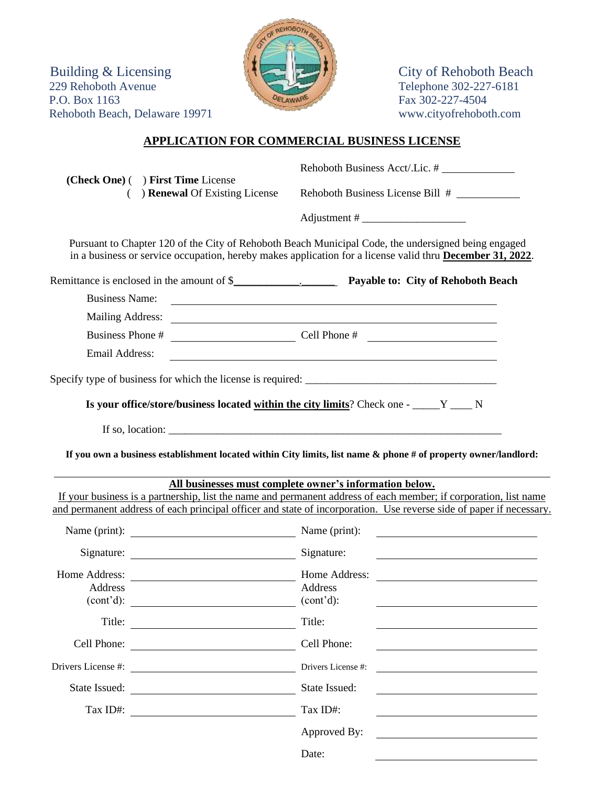Building & Licensing  $\left| \bigcup_{n=1}^{\infty} \right|$ 229 Rehoboth Avenue Telephone 302-227-6181 P.O. Box 1163 Fax 302-227-4504 Rehoboth Beach, Delaware 19971 www.cityofrehoboth.com



## **APPLICATION FOR COMMERCIAL BUSINESS LICENSE**

|                       | (Check One) () First Time License<br>) <b>Renewal</b> Of Existing License                                           | Rehoboth Business Acct/.Lic. #                                                                                                                                                                                                          |  |  |  |
|-----------------------|---------------------------------------------------------------------------------------------------------------------|-----------------------------------------------------------------------------------------------------------------------------------------------------------------------------------------------------------------------------------------|--|--|--|
| (                     |                                                                                                                     | Rehoboth Business License Bill #                                                                                                                                                                                                        |  |  |  |
|                       |                                                                                                                     |                                                                                                                                                                                                                                         |  |  |  |
|                       |                                                                                                                     | Pursuant to Chapter 120 of the City of Rehoboth Beach Municipal Code, the undersigned being engaged<br>in a business or service occupation, hereby makes application for a license valid thru <b>December 31, 2022</b> .                |  |  |  |
|                       |                                                                                                                     |                                                                                                                                                                                                                                         |  |  |  |
| <b>Business Name:</b> |                                                                                                                     | <u> 1989 - Johann Barnett, fransk politiker (d. 1989)</u>                                                                                                                                                                               |  |  |  |
|                       |                                                                                                                     |                                                                                                                                                                                                                                         |  |  |  |
|                       |                                                                                                                     |                                                                                                                                                                                                                                         |  |  |  |
| Email Address:        |                                                                                                                     | <u> 1980 - Johann Stoff, deutscher Stoffen und der Stoffen und der Stoffen und der Stoffen und der Stoffen und de</u>                                                                                                                   |  |  |  |
|                       |                                                                                                                     |                                                                                                                                                                                                                                         |  |  |  |
|                       |                                                                                                                     |                                                                                                                                                                                                                                         |  |  |  |
|                       |                                                                                                                     | Is your office/store/business located within the city limits? Check one - _____ Y ____ N                                                                                                                                                |  |  |  |
|                       |                                                                                                                     | If so, location: $\sqrt{\frac{1}{2} \sum_{i=1}^{n} (x_i - x_i)^2 + (y_i - y_i)^2}$                                                                                                                                                      |  |  |  |
|                       |                                                                                                                     | If you own a business establishment located within City limits, list name & phone # of property owner/landlord:                                                                                                                         |  |  |  |
|                       |                                                                                                                     |                                                                                                                                                                                                                                         |  |  |  |
|                       |                                                                                                                     | All businesses must complete owner's information below.                                                                                                                                                                                 |  |  |  |
|                       |                                                                                                                     | If your business is a partnership, list the name and permanent address of each member; if corporation, list name<br>and permanent address of each principal officer and state of incorporation. Use reverse side of paper if necessary. |  |  |  |
|                       | Name (print): Name (print):<br><u> 1980 - Andrea Station Barbara, amerikan per</u>                                  |                                                                                                                                                                                                                                         |  |  |  |
|                       | Signature: Signature:                                                                                               | <u> 1980 - Andrea Stadt British, fransk politik (d. 1980)</u>                                                                                                                                                                           |  |  |  |
| Home Address:         |                                                                                                                     | Home Address:                                                                                                                                                                                                                           |  |  |  |
| <b>Address</b>        |                                                                                                                     | Address                                                                                                                                                                                                                                 |  |  |  |
| (cont'd):             |                                                                                                                     | (cont'd):                                                                                                                                                                                                                               |  |  |  |
|                       |                                                                                                                     | Title:                                                                                                                                                                                                                                  |  |  |  |
|                       | Cell Phone:                                                                                                         | Cell Phone:                                                                                                                                                                                                                             |  |  |  |
|                       |                                                                                                                     | Drivers License #:                                                                                                                                                                                                                      |  |  |  |
|                       | State Issued:                                                                                                       | State Issued:                                                                                                                                                                                                                           |  |  |  |
| Tax ID#:              | <u> 1980 - Johann Barn, mars eta bainar eta baina eta baina eta baina eta baina eta baina eta baina eta baina e</u> | Tax ID#:                                                                                                                                                                                                                                |  |  |  |
|                       |                                                                                                                     | Approved By:                                                                                                                                                                                                                            |  |  |  |
|                       |                                                                                                                     | Date:                                                                                                                                                                                                                                   |  |  |  |